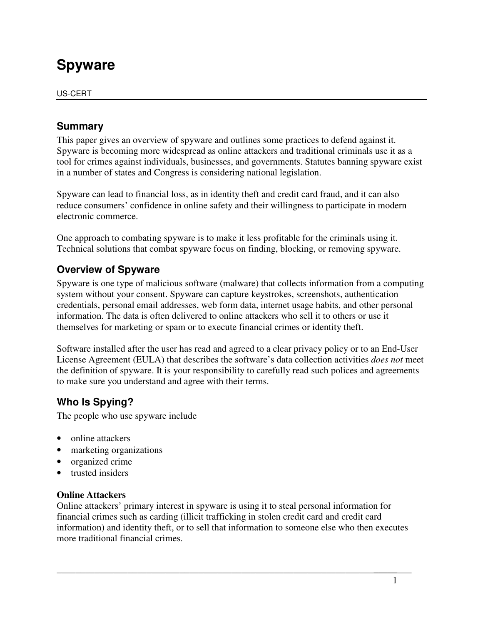# **Spyware**

#### US-CERT

# **Summary**

 tool for crimes against individuals, businesses, and governments. Statutes banning spyware exist This paper gives an overview of spyware and outlines some practices to defend against it. Spyware is becoming more widespread as online attackers and traditional criminals use it as a in a number of states and Congress is considering national legislation.

 electronic commerce. Spyware can lead to financial loss, as in identity theft and credit card fraud, and it can also reduce consumers' confidence in online safety and their willingness to participate in modern

One approach to combating spyware is to make it less profitable for the criminals using it. Technical solutions that combat spyware focus on finding, blocking, or removing spyware.

# **Overview of Spyware**

Spyware is one type of malicious software (malware) that collects information from a computing system without your consent. Spyware can capture keystrokes, screenshots, authentication credentials, personal email addresses, web form data, internet usage habits, and other personal information. The data is often delivered to online attackers who sell it to others or use it themselves for marketing or spam or to execute financial crimes or identity theft.

Software installed after the user has read and agreed to a clear privacy policy or to an End-User License Agreement (EULA) that describes the software's data collection activities *does not* meet the definition of spyware. It is your responsibility to carefully read such polices and agreements to make sure you understand and agree with their terms.

# **Who Is Spying?**

The people who use spyware include

- online attackers
- marketing organizations
- organized crime
- trusted insiders

## **Online Attackers**

Online attackers' primary interest in spyware is using it to steal personal information for financial crimes such as carding (illicit trafficking in stolen credit card and credit card information) and identity theft, or to sell that information to someone else who then executes more traditional financial crimes.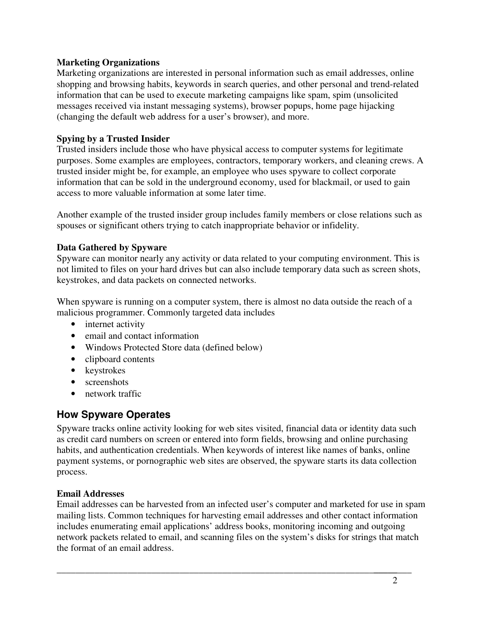#### **Marketing Organizations**

Marketing organizations are interested in personal information such as email addresses, online shopping and browsing habits, keywords in search queries, and other personal and trend-related information that can be used to execute marketing campaigns like spam, spim (unsolicited messages received via instant messaging systems), browser popups, home page hijacking (changing the default web address for a user's browser), and more.

#### **Spying by a Trusted Insider**

 purposes. Some examples are employees, contractors, temporary workers, and cleaning crews. A Trusted insiders include those who have physical access to computer systems for legitimate trusted insider might be, for example, an employee who uses spyware to collect corporate information that can be sold in the underground economy, used for blackmail, or used to gain access to more valuable information at some later time.

Another example of the trusted insider group includes family members or close relations such as spouses or significant others trying to catch inappropriate behavior or infidelity.

#### **Data Gathered by Spyware**

 Spyware can monitor nearly any activity or data related to your computing environment. This is not limited to files on your hard drives but can also include temporary data such as screen shots, keystrokes, and data packets on connected networks.

 malicious programmer. Commonly targeted data includes When spyware is running on a computer system, there is almost no data outside the reach of a

- internet activity
- email and contact information
- Windows Protected Store data (defined below)
- clipboard contents
- keystrokes
- screenshots
- network traffic

## **How Spyware Operates**

Spyware tracks online activity looking for web sites visited, financial data or identity data such as credit card numbers on screen or entered into form fields, browsing and online purchasing habits, and authentication credentials. When keywords of interest like names of banks, online payment systems, or pornographic web sites are observed, the spyware starts its data collection process.

#### **Email Addresses**

Email addresses can be harvested from an infected user's computer and marketed for use in spam mailing lists. Common techniques for harvesting email addresses and other contact information includes enumerating email applications' address books, monitoring incoming and outgoing network packets related to email, and scanning files on the system's disks for strings that match the format of an email address.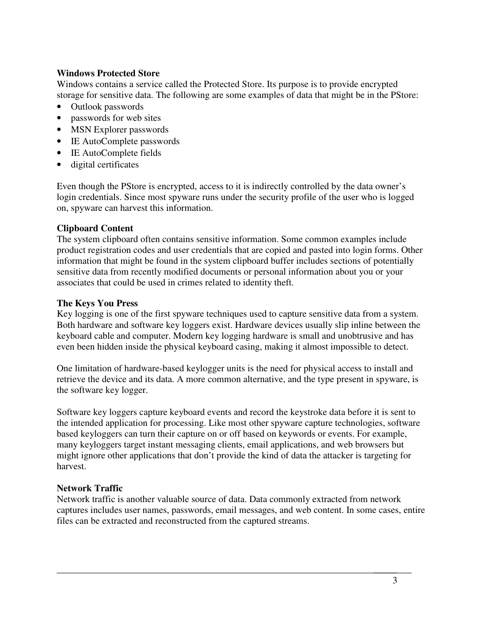#### **Windows Protected Store**

 storage for sensitive data. The following are some examples of data that might be in the PStore: Windows contains a service called the Protected Store. Its purpose is to provide encrypted

- Outlook passwords
- Outlook passwords<br>• passwords for web sites
- MSN Explorer passwords
- MSN Explorer passwords IE AutoComplete passwords IE AutoComplete fields
- 
- digital certificates

Even though the PStore is encrypted, access to it is indirectly controlled by the data owner's login credentials. Since most spyware runs under the security profile of the user who is logged on, spyware can harvest this information.

#### **Clipboard Content**

 sensitive data from recently modified documents or personal information about you or your The system clipboard often contains sensitive information. Some common examples include product registration codes and user credentials that are copied and pasted into login forms. Other information that might be found in the system clipboard buffer includes sections of potentially associates that could be used in crimes related to identity theft.

#### **The Keys You Press**

Key logging is one of the first spyware techniques used to capture sensitive data from a system. Both hardware and software key loggers exist. Hardware devices usually slip inline between the keyboard cable and computer. Modern key logging hardware is small and unobtrusive and has even been hidden inside the physical keyboard casing, making it almost impossible to detect.

One limitation of hardware-based keylogger units is the need for physical access to install and retrieve the device and its data. A more common alternative, and the type present in spyware, is the software key logger.

Software key loggers capture keyboard events and record the keystroke data before it is sent to the intended application for processing. Like most other spyware capture technologies, software based keyloggers can turn their capture on or off based on keywords or events. For example, many keyloggers target instant messaging clients, email applications, and web browsers but might ignore other applications that don't provide the kind of data the attacker is targeting for harvest.

#### **Network Traffic**

 captures includes user names, passwords, email messages, and web content. In some cases, entire Network traffic is another valuable source of data. Data commonly extracted from network files can be extracted and reconstructed from the captured streams.

\_\_\_\_\_\_\_\_\_\_\_\_\_\_\_\_\_\_\_\_\_\_\_\_\_\_\_\_\_\_\_\_\_\_\_\_\_\_\_\_\_\_\_\_\_\_\_\_\_\_\_\_\_\_\_\_\_\_\_\_\_\_\_\_\_\_\_\_\_\_\_\_\_\_\_ \_\_\_\_\_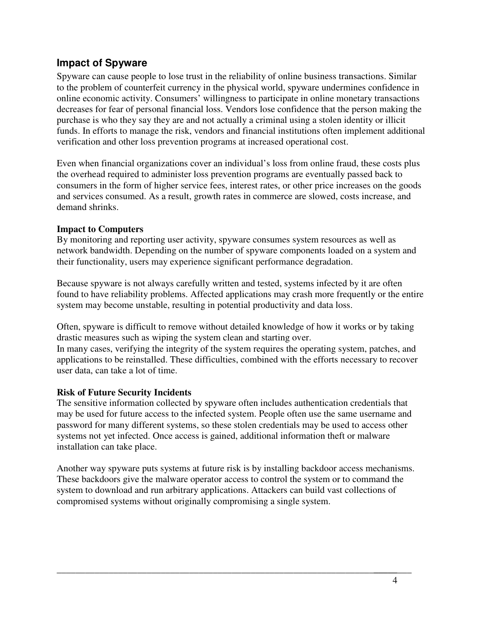# **Impact of Spyware**

 purchase is who they say they are and not actually a criminal using a stolen identity or illicit Spyware can cause people to lose trust in the reliability of online business transactions. Similar to the problem of counterfeit currency in the physical world, spyware undermines confidence in online economic activity. Consumers' willingness to participate in online monetary transactions decreases for fear of personal financial loss. Vendors lose confidence that the person making the funds. In efforts to manage the risk, vendors and financial institutions often implement additional verification and other loss prevention programs at increased operational cost.

 Even when financial organizations cover an individual's loss from online fraud, these costs plus consumers in the form of higher service fees, interest rates, or other price increases on the goods the overhead required to administer loss prevention programs are eventually passed back to and services consumed. As a result, growth rates in commerce are slowed, costs increase, and demand shrinks.

### **Impact to Computers**

 By monitoring and reporting user activity, spyware consumes system resources as well as network bandwidth. Depending on the number of spyware components loaded on a system and their functionality, users may experience significant performance degradation.

 found to have reliability problems. Affected applications may crash more frequently or the entire Because spyware is not always carefully written and tested, systems infected by it are often system may become unstable, resulting in potential productivity and data loss.

Often, spyware is difficult to remove without detailed knowledge of how it works or by taking drastic measures such as wiping the system clean and starting over.

In many cases, verifying the integrity of the system requires the operating system, patches, and applications to be reinstalled. These difficulties, combined with the efforts necessary to recover user data, can take a lot of time.

## **Risk of Future Security Incidents**

The sensitive information collected by spyware often includes authentication credentials that may be used for future access to the infected system. People often use the same username and password for many different systems, so these stolen credentials may be used to access other systems not yet infected. Once access is gained, additional information theft or malware installation can take place.

Another way spyware puts systems at future risk is by installing backdoor access mechanisms. These backdoors give the malware operator access to control the system or to command the system to download and run arbitrary applications. Attackers can build vast collections of compromised systems without originally compromising a single system.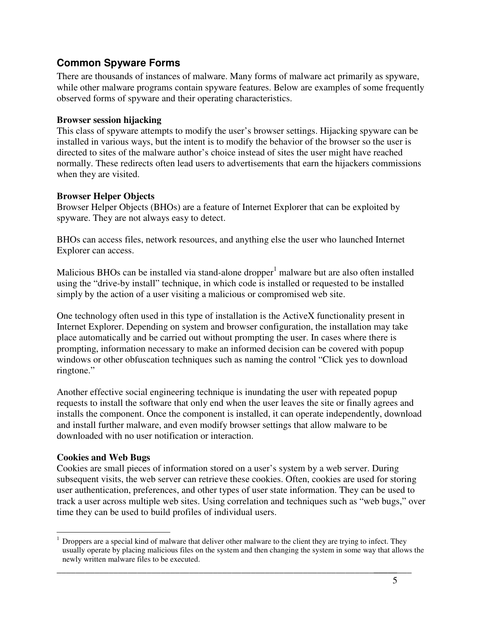# **Common Spyware Forms**

 while other malware programs contain spyware features. Below are examples of some frequently There are thousands of instances of malware. Many forms of malware act primarily as spyware, observed forms of spyware and their operating characteristics.

#### **Browser session hijacking**

 directed to sites of the malware author's choice instead of sites the user might have reached This class of spyware attempts to modify the user's browser settings. Hijacking spyware can be installed in various ways, but the intent is to modify the behavior of the browser so the user is normally. These redirects often lead users to advertisements that earn the hijackers commissions when they are visited.

#### **Browser Helper Objects**

Browser Helper Objects (BHOs) are a feature of Internet Explorer that can be exploited by spyware. They are not always easy to detect.

BHOs can access files, network resources, and anything else the user who launched Internet Explorer can access.

 simply by the action of a user visiting a malicious or compromised web site. Malicious BHOs can be installed via stand-alone dropper $1$  malware but are also often installed using the "drive-by install" technique, in which code is installed or requested to be installed

 windows or other obfuscation techniques such as naming the control "Click yes to download ringtone." One technology often used in this type of installation is the ActiveX functionality present in Internet Explorer. Depending on system and browser configuration, the installation may take place automatically and be carried out without prompting the user. In cases where there is prompting, information necessary to make an informed decision can be covered with popup

Another effective social engineering technique is inundating the user with repeated popup requests to install the software that only end when the user leaves the site or finally agrees and installs the component. Once the component is installed, it can operate independently, download and install further malware, and even modify browser settings that allow malware to be downloaded with no user notification or interaction.

#### **Cookies and Web Bugs**

Cookies are small pieces of information stored on a user's system by a web server. During subsequent visits, the web server can retrieve these cookies. Often, cookies are used for storing user authentication, preferences, and other types of user state information. They can be used to track a user across multiple web sites. Using correlation and techniques such as "web bugs," over time they can be used to build profiles of individual users.

 $\overline{a}$  $1$  Droppers are a special kind of malware that deliver other malware to the client they are trying to infect. They usually operate by placing malicious files on the system and then changing the system in some way that allows the newly written malware files to be executed.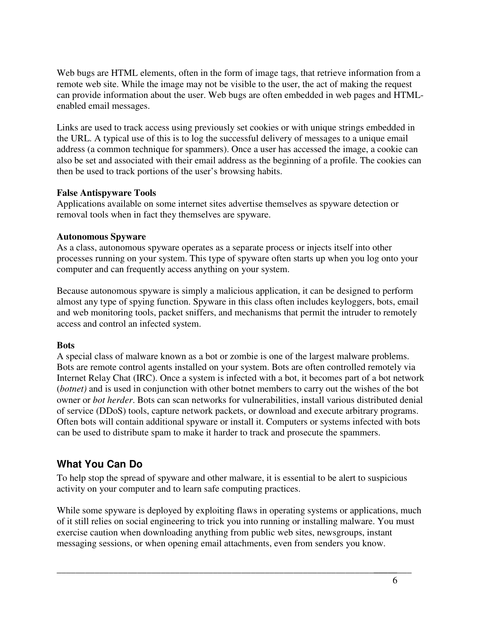Web bugs are HTML elements, often in the form of image tags, that retrieve information from a remote web site. While the image may not be visible to the user, the act of making the request can provide information about the user. Web bugs are often embedded in web pages and HTMLenabled email messages.

Links are used to track access using previously set cookies or with unique strings embedded in the URL. A typical use of this is to log the successful delivery of messages to a unique email address (a common technique for spammers). Once a user has accessed the image, a cookie can also be set and associated with their email address as the beginning of a profile. The cookies can then be used to track portions of the user's browsing habits.

#### **False Antispyware Tools**

Applications available on some internet sites advertise themselves as spyware detection or removal tools when in fact they themselves are spyware.

#### **Autonomous Spyware**

As a class, autonomous spyware operates as a separate process or injects itself into other processes running on your system. This type of spyware often starts up when you log onto your computer and can frequently access anything on your system.

Because autonomous spyware is simply a malicious application, it can be designed to perform almost any type of spying function. Spyware in this class often includes keyloggers, bots, email and web monitoring tools, packet sniffers, and mechanisms that permit the intruder to remotely access and control an infected system.

#### **Bots**

 Bots are remote control agents installed on your system. Bots are often controlled remotely via A special class of malware known as a bot or zombie is one of the largest malware problems. Internet Relay Chat (IRC). Once a system is infected with a bot, it becomes part of a bot network (*botnet)* and is used in conjunction with other botnet members to carry out the wishes of the bot owner or *bot herder*. Bots can scan networks for vulnerabilities, install various distributed denial of service (DDoS) tools, capture network packets, or download and execute arbitrary programs. Often bots will contain additional spyware or install it. Computers or systems infected with bots can be used to distribute spam to make it harder to track and prosecute the spammers.

# **What You Can Do**

To help stop the spread of spyware and other malware, it is essential to be alert to suspicious activity on your computer and to learn safe computing practices.

 messaging sessions, or when opening email attachments, even from senders you know. While some spyware is deployed by exploiting flaws in operating systems or applications, much of it still relies on social engineering to trick you into running or installing malware. You must exercise caution when downloading anything from public web sites, newsgroups, instant

\_\_\_\_\_\_\_\_\_\_\_\_\_\_\_\_\_\_\_\_\_\_\_\_\_\_\_\_\_\_\_\_\_\_\_\_\_\_\_\_\_\_\_\_\_\_\_\_\_\_\_\_\_\_\_\_\_\_\_\_\_\_\_\_\_\_\_\_\_\_\_\_\_\_\_ \_\_\_\_\_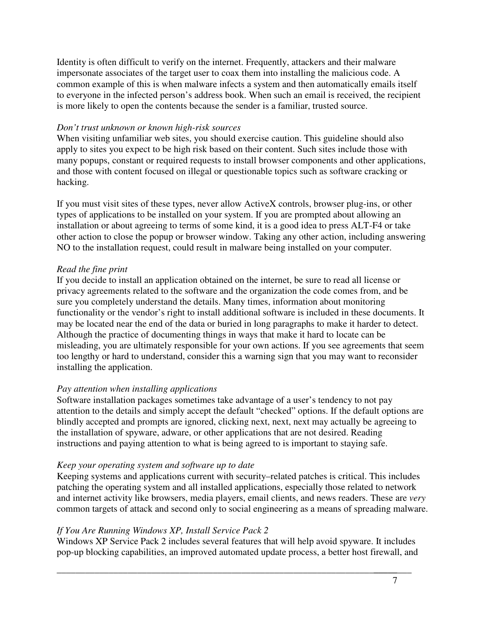common example of this is when malware infects a system and then automatically emails itself Identity is often difficult to verify on the internet. Frequently, attackers and their malware impersonate associates of the target user to coax them into installing the malicious code. A to everyone in the infected person's address book. When such an email is received, the recipient is more likely to open the contents because the sender is a familiar, trusted source.

#### *Don't trust unknown or known high-risk sources*

 apply to sites you expect to be high risk based on their content. Such sites include those with and those with content focused on illegal or questionable topics such as software cracking or When visiting unfamiliar web sites, you should exercise caution. This guideline should also many popups, constant or required requests to install browser components and other applications, hacking.

 types of applications to be installed on your system. If you are prompted about allowing an If you must visit sites of these types, never allow ActiveX controls, browser plug-ins, or other installation or about agreeing to terms of some kind, it is a good idea to press ALT-F4 or take other action to close the popup or browser window. Taking any other action, including answering NO to the installation request, could result in malware being installed on your computer.

#### *Read the fine print*

 misleading, you are ultimately responsible for your own actions. If you see agreements that seem too lengthy or hard to understand, consider this a warning sign that you may want to reconsider If you decide to install an application obtained on the internet, be sure to read all license or privacy agreements related to the software and the organization the code comes from, and be sure you completely understand the details. Many times, information about monitoring functionality or the vendor's right to install additional software is included in these documents. It may be located near the end of the data or buried in long paragraphs to make it harder to detect. Although the practice of documenting things in ways that make it hard to locate can be installing the application.

## *Pay attention when installing applications*

Software installation packages sometimes take advantage of a user's tendency to not pay attention to the details and simply accept the default "checked" options. If the default options are blindly accepted and prompts are ignored, clicking next, next, next may actually be agreeing to the installation of spyware, adware, or other applications that are not desired. Reading instructions and paying attention to what is being agreed to is important to staying safe.

#### *Keep your operating system and software up to date*

 and internet activity like browsers, media players, email clients, and news readers. These are *very*  common targets of attack and second only to social engineering as a means of spreading malware. Keeping systems and applications current with security–related patches is critical. This includes patching the operating system and all installed applications, especially those related to network

## *If You Are Running Windows XP, Install Service Pack 2*

Windows XP Service Pack 2 includes several features that will help avoid spyware. It includes pop-up blocking capabilities, an improved automated update process, a better host firewall, and